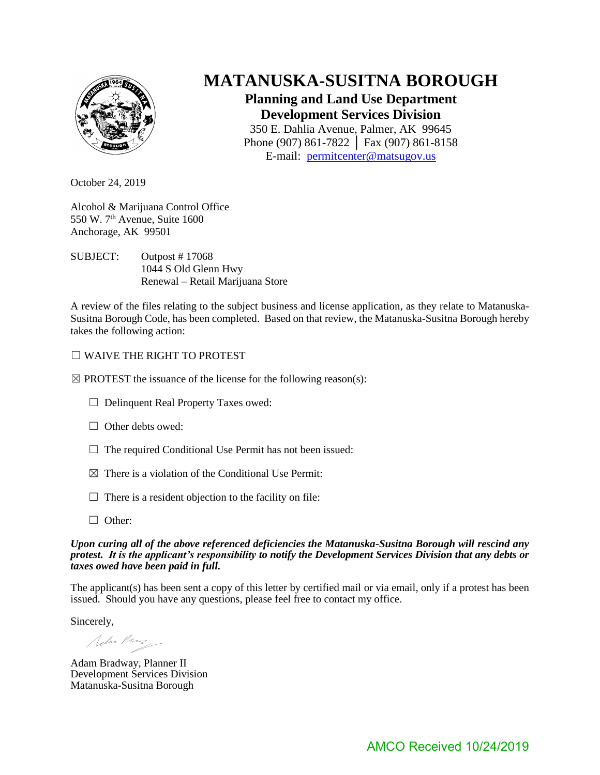

# **MATANUSKA-SUSITNA BOROUGH**

# **Planning and Land Use Department Development Services Division**

350 E. Dahlia Avenue, Palmer, AK 99645 Phone (907) 861-7822 │ Fax (907) 861-8158 E-mail: [permitcenter@matsugov.us](mailto:permitcenter@matsugov.us)

October 24, 2019

Alcohol & Marijuana Control Office 550 W. 7<sup>th</sup> Avenue, Suite 1600 Anchorage, AK 99501

SUBJECT: Outpost # 17068 1044 S Old Glenn Hwy Renewal – Retail Marijuana Store

A review of the files relating to the subject business and license application, as they relate to Matanuska-Susitna Borough Code, has been completed. Based on that review, the Matanuska-Susitna Borough hereby takes the following action:

## ☐ WAIVE THE RIGHT TO PROTEST

 $\boxtimes$  PROTEST the issuance of the license for the following reason(s):

- ☐ Delinquent Real Property Taxes owed:
- $\Box$  Other debts owed:
- $\Box$  The required Conditional Use Permit has not been issued:
- $\boxtimes$  There is a violation of the Conditional Use Permit:
- $\Box$  There is a resident objection to the facility on file:
- □ Other:

#### *Upon curing all of the above referenced deficiencies the Matanuska-Susitna Borough will rescind any protest. It is the applicant's responsibility to notify the Development Services Division that any debts or taxes owed have been paid in full.*

The applicant(s) has been sent a copy of this letter by certified mail or via email, only if a protest has been issued. Should you have any questions, please feel free to contact my office.

Sincerely,

Jelen Perz -

Adam Bradway, Planner II Development Services Division Matanuska-Susitna Borough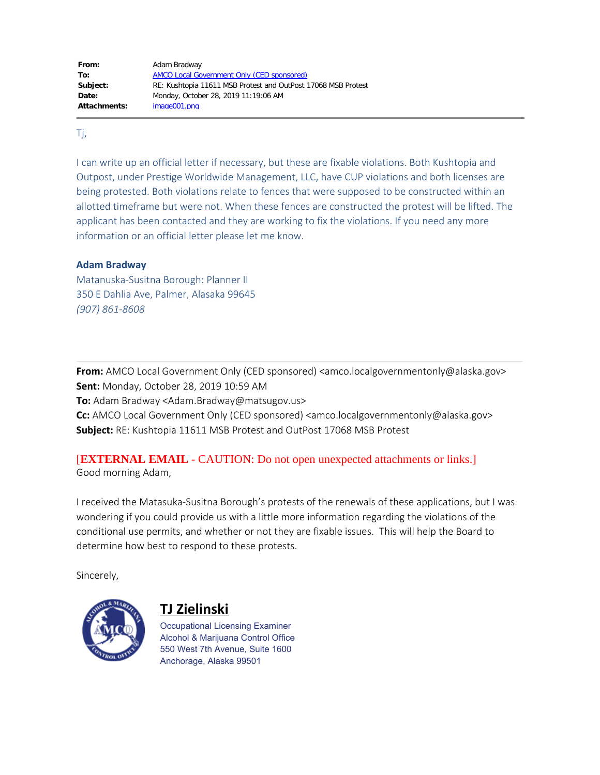**From:** Adam Bradway **To:** [AMCO Local Government Only \(CED sponsored\)](mailto:amco.localgovernmentonly@alaska.gov) **Subject:** RE: Kushtopia 11611 MSB Protest and OutPost 17068 MSB Protest **Date:** Monday, October 28, 2019 11:19:06 AM **Attachments:** image001.png

Tj,

I can write up an official letter if necessary, but these are fixable violations. Both Kushtopia and Outpost, under Prestige Worldwide Management, LLC, have CUP violations and both licenses are being protested. Both violations relate to fences that were supposed to be constructed within an allotted timeframe but were not. When these fences are constructed the protest will be lifted. The applicant has been contacted and they are working to fix the violations. If you need any more information or an official letter please let me know.

#### **Adam Bradway**

Matanuska-Susitna Borough: Planner II 350 E Dahlia Ave, Palmer, Alasaka 99645 *(907) 861-8608*

From: AMCO Local Government Only (CED sponsored) <amco.localgovernmentonly@alaska.gov> **Sent:** Monday, October 28, 2019 10:59 AM

**To:** Adam Bradway <Adam.Bradway@matsugov.us>

**Cc:** AMCO Local Government Only (CED sponsored) <amco.localgovernmentonly@alaska.gov> **Subject:** RE: Kushtopia 11611 MSB Protest and OutPost 17068 MSB Protest

## [**EXTERNAL EMAIL** - CAUTION: Do not open unexpected attachments or links.] Good morning Adam,

I received the Matasuka-Susitna Borough's protests of the renewals of these applications, but I was wondering if you could provide us with a little more information regarding the violations of the conditional use permits, and whether or not they are fixable issues. This will help the Board to determine how best to respond to these protests.

Sincerely,



# **TJ Zielinski**

Occupational Licensing Examiner Alcohol & Marijuana Control Office 550 West 7th Avenue, Suite 1600 Anchorage, Alaska 99501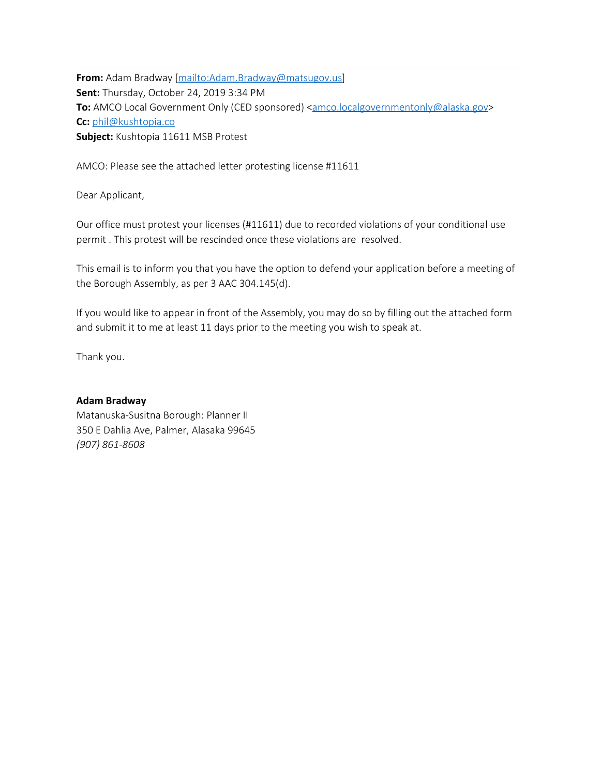**From:** Adam Bradway [<mailto:Adam.Bradway@matsugov.us>] **Sent:** Thursday, October 24, 2019 3:34 PM **To:** AMCO Local Government Only (CED sponsored) <[amco.localgovernmentonly@alaska.gov](mailto:amco.localgovernmentonly@alaska.gov)> **Cc:** [phil@kushtopia.co](mailto:phil@kushtopia.co) **Subject:** Kushtopia 11611 MSB Protest

AMCO: Please see the attached letter protesting license #11611

Dear Applicant,

Our office must protest your licenses (#11611) due to recorded violations of your conditional use permit . This protest will be rescinded once these violations are resolved.

This email is to inform you that you have the option to defend your application before a meeting of the Borough Assembly, as per 3 AAC 304.145(d).

If you would like to appear in front of the Assembly, you may do so by filling out the attached form and submit it to me at least 11 days prior to the meeting you wish to speak at.

Thank you.

#### **Adam Bradway**

Matanuska-Susitna Borough: Planner II 350 E Dahlia Ave, Palmer, Alasaka 99645 *(907) 861-8608*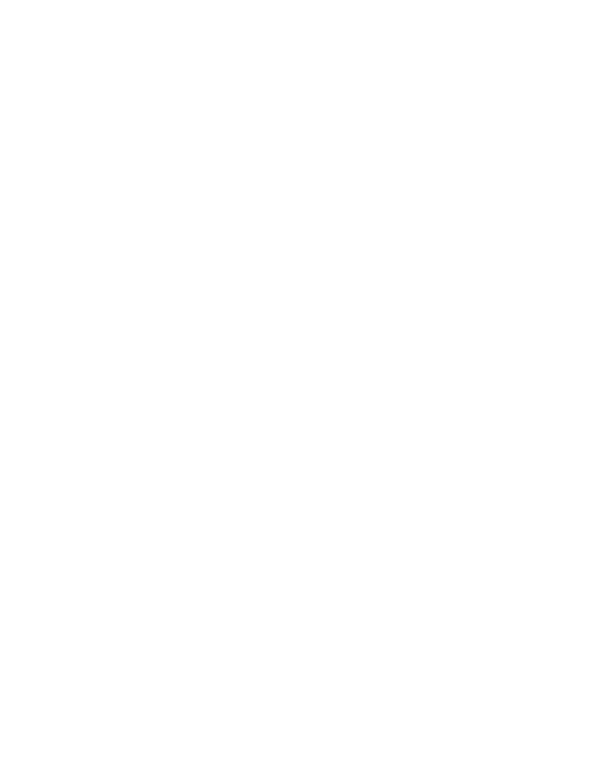O MARING IN THE SALE OF THE SALE OF THE SALE OF THE SALE OF THE SALE OF THE SALE OF THE SALE OF THE SALE OF THE SALE OF THE SALE OF THE SALE OF THE SALE OF THE SALE OF THE SALE OF THE SALE OF THE SALE OF THE SALE OF THE SA allotted timeframe but were not. When these fences are constructed the protest will be lifted. The being protested. Both violations relate to fences that were supposed to be constructed within an applicant has been contacted and they are working to fix the violations. If you need any more information or an official letter please let me know

350 E Dahlia Ave, Palmer, Alasaka 99645 Matanuska-Susitna Borough: Planner II  $(907) 861 - 8608$ Adam Bradway

From: AMCO Local Government Only (CED sponsored) <amco.localgovernmentonly@alaska.gov> Cc:AMCO Local Government Only (CED sponsored) <amco.localgovernmentonly@alaska.gov> Subject: RE: Kushtopia 11611 MSB Protest and OutPost 17068 MSB Protest To: Adam Bradway <Adam.Bradway@matsugov.us> Sent: Monday, October 28, 2019 10:59 AM

Good morning Adam,

I received the Matasuka-Susitna Borough's protests of the renewals of these applications, but I was conditional use permits, and whether or not they are fixable issues. This will help the Board to wondering if you could provide us with a little more information regarding the violations of the determine how best to respond to these protests

Sincerely,

# **TJ Zielinski**

Alcohol & Marijuana Control Office Occupational Licensing Examiner 550 West 7th Avenue, Suite 1600 Anchorage, Alaska 99501